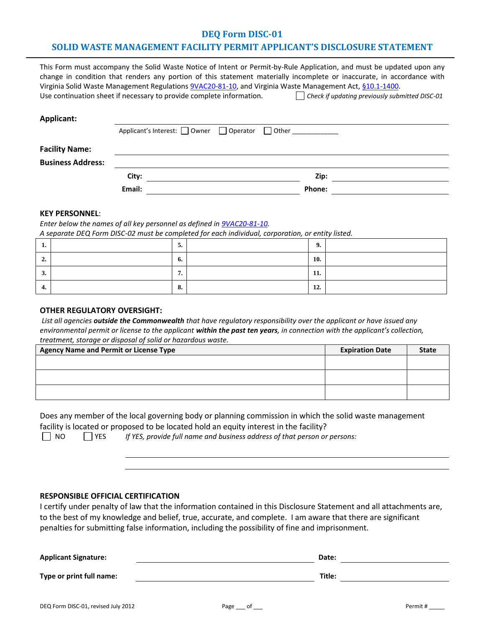# **DEQ Form DISC-01**

## **SOLID WASTE MANAGEMENT FACILITY PERMIT APPLICANT'S DISCLOSURE STATEMENT**

|                          | City:                                                                                                                                                                            | Zip:                                                                                                                                                                                                                                            |
|--------------------------|----------------------------------------------------------------------------------------------------------------------------------------------------------------------------------|-------------------------------------------------------------------------------------------------------------------------------------------------------------------------------------------------------------------------------------------------|
| <b>Business Address:</b> |                                                                                                                                                                                  |                                                                                                                                                                                                                                                 |
| <b>Facility Name:</b>    |                                                                                                                                                                                  |                                                                                                                                                                                                                                                 |
|                          | Applicant's Interest: Owner Operator Other                                                                                                                                       |                                                                                                                                                                                                                                                 |
| <b>Applicant:</b>        |                                                                                                                                                                                  |                                                                                                                                                                                                                                                 |
|                          | Virginia Solid Waste Management Regulations 9VAC20-81-10, and Virginia Waste Management Act, §10.1-1400.<br>Use continuation sheet if necessary to provide complete information. | Check if updating previously submitted DISC-01                                                                                                                                                                                                  |
|                          |                                                                                                                                                                                  | This Form must accompany the Solid Waste Notice of Intent or Permit-by-Rule Application, and must be updated upon any<br>change in condition that renders any portion of this statement materially incomplete or inaccurate, in accordance with |

**Email: Phone:**

#### **KEY PERSONNEL**:

*Enter below the names of all key personnel as defined i[n 9VAC20-81-10.](http://lis.virginia.gov/000/reg/TOC09020.HTM)* 

*A separate DEQ Form DISC-02 must be completed for each individual, corporation, or entity listed.*

| . . | ◡.             | ո        |  |
|-----|----------------|----------|--|
| ∸.  | o.             | 10.      |  |
| J.  | -<br>$\cdot$   | -<br>11. |  |
| 4.  | $\Omega$<br>о. | 12.      |  |

#### **OTHER REGULATORY OVERSIGHT:**

*List all agencies outside the Commonwealth that have regulatory responsibility over the applicant or have issued any environmental permit or license to the applicant within the past ten years, in connection with the applicant's collection, treatment, storage or disposal of solid or hazardous waste.* 

| <b>Agency Name and Permit or License Type</b> | <b>Expiration Date</b> | <b>State</b> |
|-----------------------------------------------|------------------------|--------------|
|                                               |                        |              |
|                                               |                        |              |
|                                               |                        |              |
|                                               |                        |              |
|                                               |                        |              |
|                                               |                        |              |

Does any member of the local governing body or planning commission in which the solid waste management facility is located or proposed to be located hold an equity interest in the facility?

NO YES *If YES, provide full name and business address of that person or persons:*

#### **RESPONSIBLE OFFICIAL CERTIFICATION**

I certify under penalty of law that the information contained in this Disclosure Statement and all attachments are, to the best of my knowledge and belief, true, accurate, and complete. I am aware that there are significant penalties for submitting false information, including the possibility of fine and imprisonment.

| <b>Applicant Signature:</b> | Date:  |  |
|-----------------------------|--------|--|
| Type or print full name:    | Title: |  |
|                             |        |  |